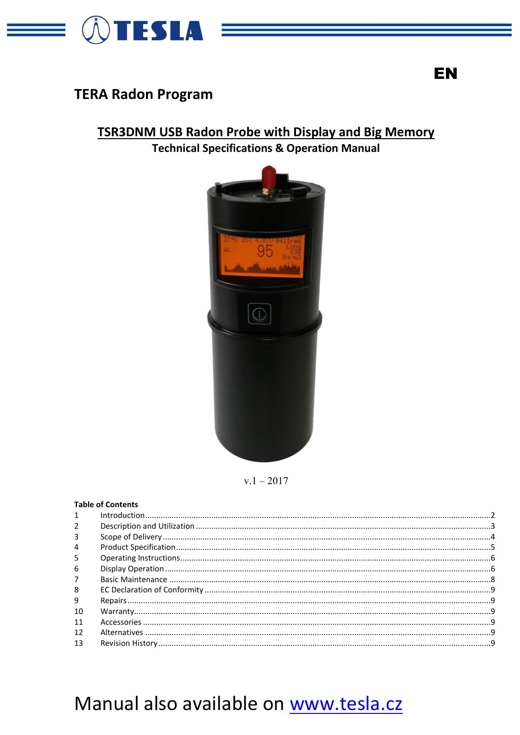

# **TERA Radon Program**

# **TSR3DNM USB Radon Probe with Display and Big Memory**

**Technical Specifications & Operation Manual** 



 $v.1 - 2017$ 

# **Table of Contents**

| $\mathcal{P}$  |  |
|----------------|--|
| 3              |  |
| $\overline{4}$ |  |
| 5              |  |
| 6              |  |
| 7              |  |
| 8              |  |
| 9              |  |
| 10             |  |
| 11             |  |
| 12             |  |
| 13             |  |

# **EN**

# Manual also available on www.tesla.cz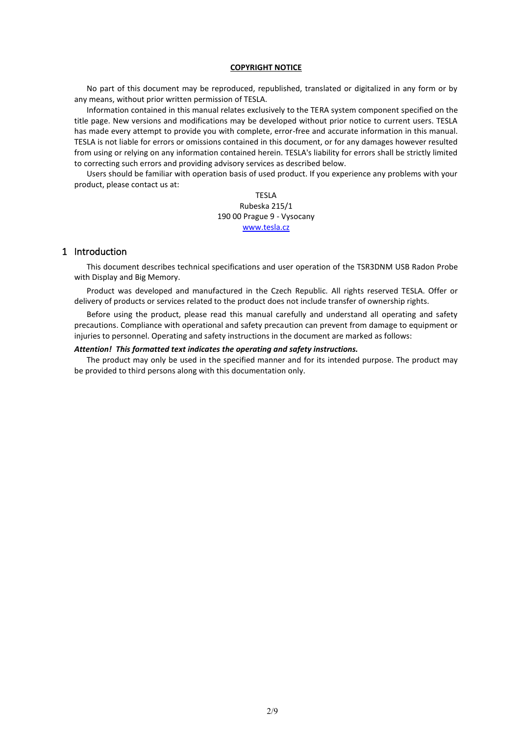#### **COPYRIGHT NOTICE**

No part of this document may be reproduced, republished, translated or digitalized in any form or by any means, without prior written permission of TESLA.

Information contained in this manual relates exclusively to the TERA system component specified on the title page. New versions and modifications may be developed without prior notice to current users. TESLA has made every attempt to provide you with complete, error-free and accurate information in this manual. TESLA is not liable for errors or omissions contained in this document, or for any damages however resulted from using or relying on any information contained herein. TESLA's liability for errors shall be strictly limited to correcting such errors and providing advisory services as described below.

Users should be familiar with operation basis of used product. If you experience any problems with your product, please contact us at:

> TESLA Rubeska 215/1 190 00 Prague 9 - Vysocany [www.tesla.cz](http://www.tesla.cz/)

# <span id="page-1-0"></span>1 Introduction

This document describes technical specifications and user operation of the TSR3DNM USB Radon Probe with Display and Big Memory.

Product was developed and manufactured in the Czech Republic. All rights reserved TESLA. Offer or delivery of products or services related to the product does not include transfer of ownership rights.

Before using the product, please read this manual carefully and understand all operating and safety precautions. Compliance with operational and safety precaution can prevent from damage to equipment or injuries to personnel. Operating and safety instructions in the document are marked as follows:

#### *Attention! This formatted text indicates the operating and safety instructions.*

The product may only be used in the specified manner and for its intended purpose. The product may be provided to third persons along with this documentation only.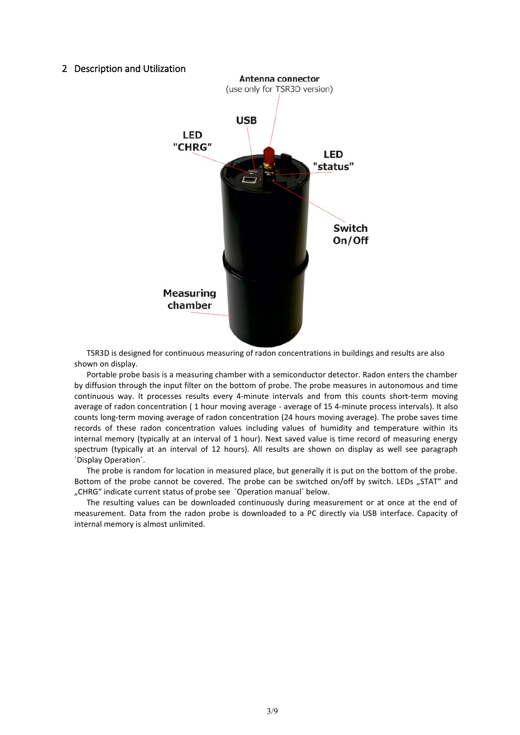#### <span id="page-2-0"></span>2 Description and Utilization



TSR3D is designed for continuous measuring of radon concentrations in buildings and results are also shown on display.

Portable probe basis is a measuring chamber with a semiconductor detector. Radon enters the chamber by diffusion through the input filter on the bottom of probe. The probe measures in autonomous and time continuous way. It processes results every 4-minute intervals and from this counts short-term moving average of radon concentration (1 hour moving average - average of 15 4-minute process intervals). It also counts long-term moving average of radon concentration (24 hours moving average). The probe saves time records of these radon concentration values including values of humidity and temperature within its internal memory (typically at an interval of 1 hour). Next saved value is time record of measuring energy spectrum (typically at an interval of 12 hours). All results are shown on display as well see paragraph ´Display Operation´.

The probe is random for location in measured place, but generally it is put on the bottom of the probe. Bottom of the probe cannot be covered. The probe can be switched on/off by switch. LEDs "STAT" and "CHRG" indicate current status of probe see ´Operation manual´ below.

The resulting values can be downloaded continuously during measurement or at once at the end of measurement. Data from the radon probe is downloaded to a PC directly via USB interface. Capacity of internal memory is almost unlimited.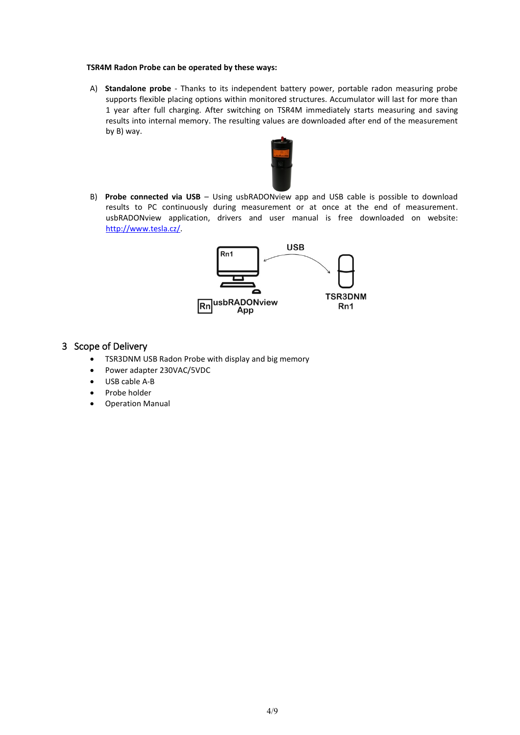#### **TSR4M Radon Probe can be operated by these ways:**

A) **Standalone probe** - Thanks to its independent battery power, portable radon measuring probe supports flexible placing options within monitored structures. Accumulator will last for more than 1 year after full charging. After switching on TSR4M immediately starts measuring and saving results into internal memory. The resulting values are downloaded after end of the measurement by B) way.



B) **Probe connected via USB** – Using usbRADONview app and USB cable is possible to download results to PC continuously during measurement or at once at the end of measurement. usbRADONview application, drivers and user manual is free downloaded on website: [http://www.tesla.cz/.](http://www.tesla.cz/)



# <span id="page-3-0"></span>3 Scope of Delivery

- TSR3DNM USB Radon Probe with display and big memory
- Power adapter 230VAC/5VDC
- USB cable A-B
- Probe holder
- <span id="page-3-1"></span>• Operation Manual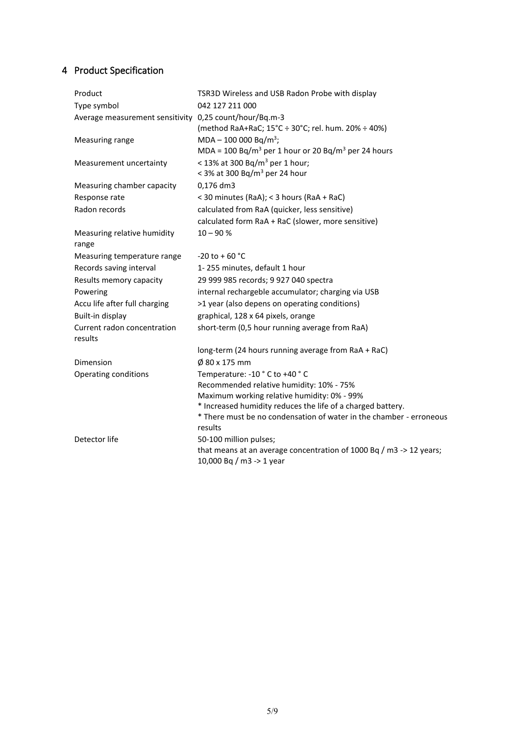# 4 Product Specification

| Product                                                | TSR3D Wireless and USB Radon Probe with display                                                 |
|--------------------------------------------------------|-------------------------------------------------------------------------------------------------|
| Type symbol                                            | 042 127 211 000                                                                                 |
| Average measurement sensitivity 0,25 count/hour/Bq.m-3 | (method RaA+RaC; 15°C ÷ 30°C; rel. hum. 20% ÷ 40%)                                              |
| Measuring range                                        | $MDA - 100 000 Bq/m^3;$                                                                         |
|                                                        | MDA = 100 Bq/m <sup>3</sup> per 1 hour or 20 Bq/m <sup>3</sup> per 24 hours                     |
| Measurement uncertainty                                | < 13% at 300 Bq/m <sup>3</sup> per 1 hour;<br>< 3% at 300 Bq/m <sup>3</sup> per 24 hour         |
| Measuring chamber capacity                             | 0,176 dm3                                                                                       |
| Response rate                                          | < 30 minutes (RaA); < 3 hours (RaA + RaC)                                                       |
| Radon records                                          | calculated from RaA (quicker, less sensitive)                                                   |
|                                                        | calculated form RaA + RaC (slower, more sensitive)                                              |
| Measuring relative humidity<br>range                   | $10 - 90 %$                                                                                     |
| Measuring temperature range                            | $-20$ to + 60 °C                                                                                |
| Records saving interval                                | 1-255 minutes, default 1 hour                                                                   |
| Results memory capacity                                | 29 999 985 records; 9 927 040 spectra                                                           |
| Powering                                               | internal rechargeble accumulator; charging via USB                                              |
| Accu life after full charging                          | >1 year (also depens on operating conditions)                                                   |
| Built-in display                                       | graphical, 128 x 64 pixels, orange                                                              |
| Current radon concentration<br>results                 | short-term (0,5 hour running average from RaA)                                                  |
|                                                        | long-term (24 hours running average from RaA + RaC)                                             |
| Dimension                                              | Ø 80 x 175 mm                                                                                   |
| Operating conditions                                   | Temperature: -10 °C to +40 °C                                                                   |
|                                                        | Recommended relative humidity: 10% - 75%                                                        |
|                                                        | Maximum working relative humidity: 0% - 99%                                                     |
|                                                        | * Increased humidity reduces the life of a charged battery.                                     |
|                                                        | * There must be no condensation of water in the chamber - erroneous<br>results                  |
| Detector life                                          | 50-100 million pulses;                                                                          |
|                                                        | that means at an average concentration of 1000 Bq / m3 -> 12 years;<br>10,000 Bq / m3 -> 1 year |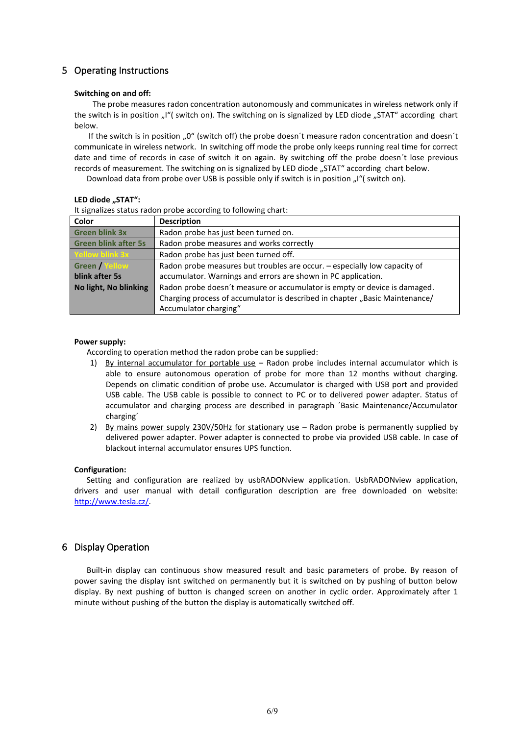# <span id="page-5-0"></span>5 Operating Instructions

#### **Switching on and off:**

 The probe measures radon concentration autonomously and communicates in wireless network only if the switch is in position "I"( switch on). The switching on is signalized by LED diode "STAT" according chart below.

If the switch is in position  $0.0$ " (switch off) the probe doesn't measure radon concentration and doesn't communicate in wireless network. In switching off mode the probe only keeps running real time for correct date and time of records in case of switch it on again. By switching off the probe doesn´t lose previous records of measurement. The switching on is signalized by LED diode "STAT" according chart below.

Download data from probe over USB is possible only if switch is in position "I"( switch on).

#### LED diode "STAT":

It signalizes status radon probe according to following chart:

| Color                       | <b>Description</b>                                                          |
|-----------------------------|-----------------------------------------------------------------------------|
| <b>Green blink 3x</b>       | Radon probe has just been turned on.                                        |
| <b>Green blink after 5s</b> | Radon probe measures and works correctly                                    |
| <b>Yellow blink 3x</b>      | Radon probe has just been turned off.                                       |
| <b>Green / Yellow</b>       | Radon probe measures but troubles are occur. - especially low capacity of   |
| blink after 5s              | accumulator. Warnings and errors are shown in PC application.               |
| No light, No blinking       | Radon probe doesn't measure or accumulator is empty or device is damaged.   |
|                             | Charging process of accumulator is described in chapter "Basic Maintenance/ |
|                             | Accumulator charging"                                                       |

#### **Power supply:**

According to operation method the radon probe can be supplied:

- 1) By internal accumulator for portable use Radon probe includes internal accumulator which is able to ensure autonomous operation of probe for more than 12 months without charging. Depends on climatic condition of probe use. Accumulator is charged with USB port and provided USB cable. The USB cable is possible to connect to PC or to delivered power adapter. Status of accumulator and charging process are described in paragraph ´Basic Maintenance/Accumulator charging´
- 2) By mains power supply 230V/50Hz for stationary use Radon probe is permanently supplied by delivered power adapter. Power adapter is connected to probe via provided USB cable. In case of blackout internal accumulator ensures UPS function.

#### **Configuration:**

Setting and configuration are realized by usbRADONview application. UsbRADONview application, drivers and user manual with detail configuration description are free downloaded on website: [http://www.tesla.cz/.](http://www.tesla.cz/)

## <span id="page-5-1"></span>6 Display Operation

Built-in display can continuous show measured result and basic parameters of probe. By reason of power saving the display isnt switched on permanently but it is switched on by pushing of button below display. By next pushing of button is changed screen on another in cyclic order. Approximately after 1 minute without pushing of the button the display is automatically switched off.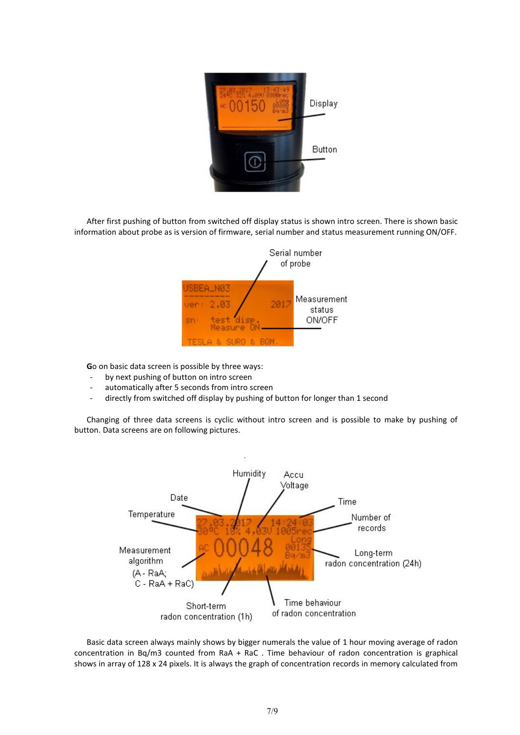

After first pushing of button from switched off display status is shown intro screen. There is shown basic information about probe as is version of firmware, serial number and status measurement running ON/OFF.



**G**o on basic data screen is possible by three ways:

- by next pushing of button on intro screen
- automatically after 5 seconds from intro screen
- directly from switched off display by pushing of button for longer than 1 second

Changing of three data screens is cyclic without intro screen and is possible to make by pushing of button. Data screens are on following pictures.



Basic data screen always mainly shows by bigger numerals the value of 1 hour moving average of radon concentration in Bq/m3 counted from RaA + RaC . Time behaviour of radon concentration is graphical shows in array of 128 x 24 pixels. It is always the graph of concentration records in memory calculated from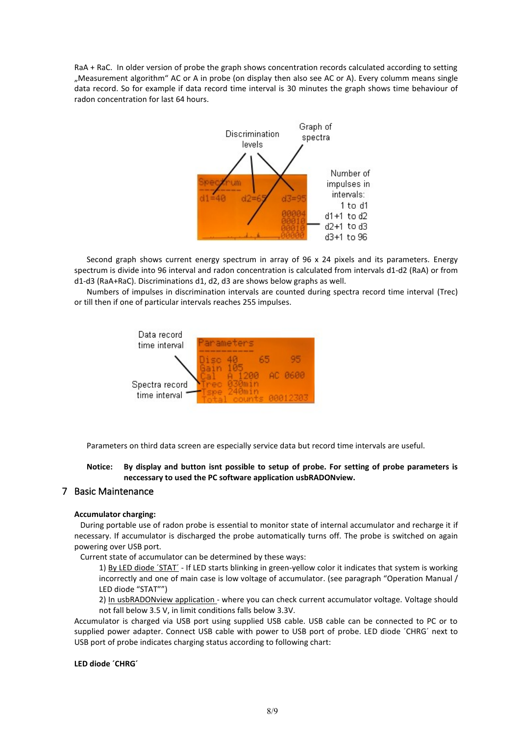RaA + RaC. In older version of probe the graph shows concentration records calculated according to setting "Measurement algorithm" AC or A in probe (on display then also see AC or A). Every columm means single data record. So for example if data record time interval is 30 minutes the graph shows time behaviour of radon concentration for last 64 hours.



Second graph shows current energy spectrum in array of 96 x 24 pixels and its parameters. Energy spectrum is divide into 96 interval and radon concentration is calculated from intervals d1-d2 (RaA) or from d1-d3 (RaA+RaC). Discriminations d1, d2, d3 are shows below graphs as well.

Numbers of impulses in discrimination intervals are counted during spectra record time interval (Trec) or till then if one of particular intervals reaches 255 impulses.



Parameters on third data screen are especially service data but record time intervals are useful.

**Notice: By display and button isnt possible to setup of probe. For setting of probe parameters is neccessary to used the PC software application usbRADONview.**

## <span id="page-7-0"></span>7 Basic Maintenance

#### **Accumulator charging:**

 During portable use of radon probe is essential to monitor state of internal accumulator and recharge it if necessary. If accumulator is discharged the probe automatically turns off. The probe is switched on again powering over USB port.

Current state of accumulator can be determined by these ways:

1) By LED diode 'STAT' - If LED starts blinking in green-yellow color it indicates that system is working incorrectly and one of main case is low voltage of accumulator. (see paragraph "Operation Manual / LED diode "STAT"")

2) In usbRADONview application - where you can check current accumulator voltage. Voltage should not fall below 3.5 V, in limit conditions falls below 3.3V.

Accumulator is charged via USB port using supplied USB cable. USB cable can be connected to PC or to supplied power adapter. Connect USB cable with power to USB port of probe. LED diode ´CHRG´ next to USB port of probe indicates charging status according to following chart:

#### **LED diode ´CHRG´**